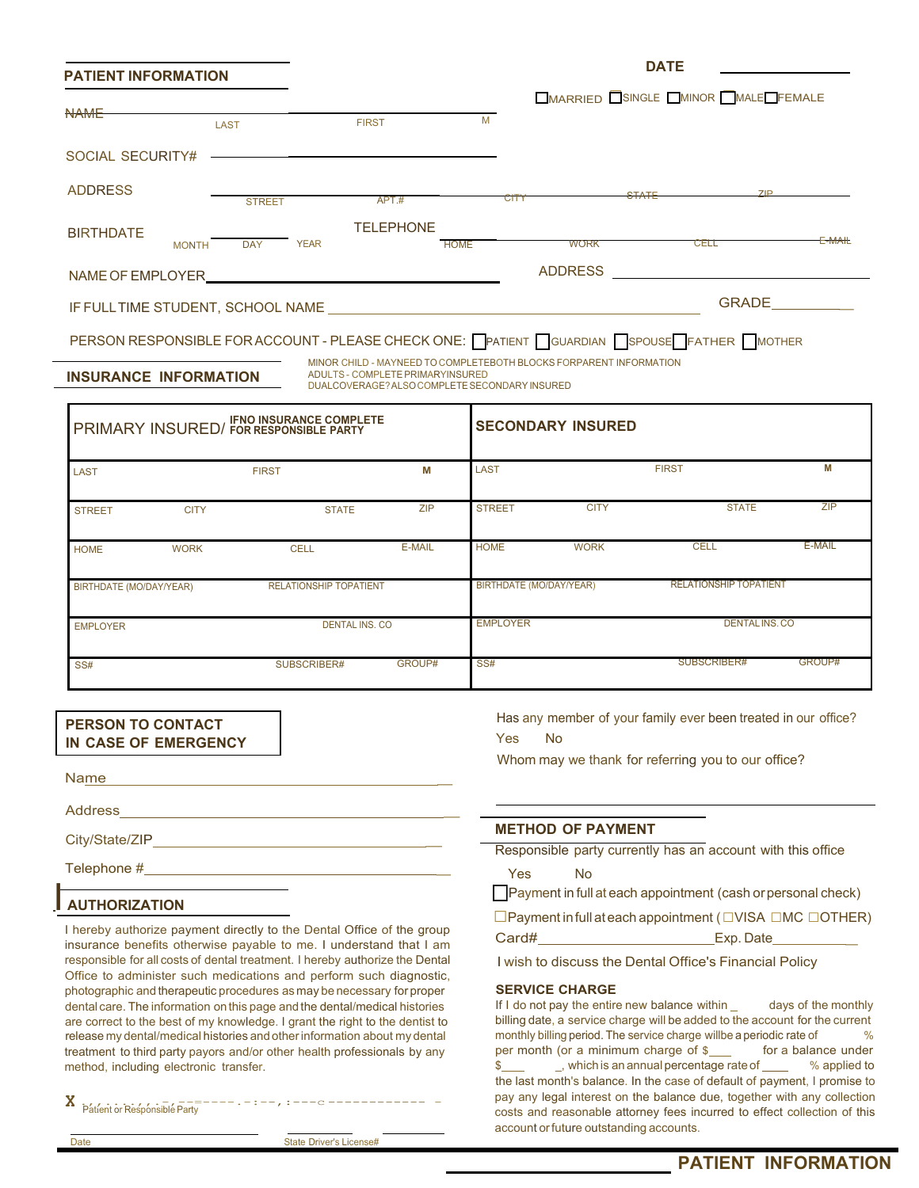| <b>PATIENT INFORMATION</b>        |              |               |             |                                                             |                          |             | <b>DATE</b>    |              |                                            |        |
|-----------------------------------|--------------|---------------|-------------|-------------------------------------------------------------|--------------------------|-------------|----------------|--------------|--------------------------------------------|--------|
|                                   |              |               |             |                                                             |                          |             |                |              | <b>OMARRIED OSINGLE OMINOR MALE FEMALE</b> |        |
| <b>NAME</b>                       |              | <b>LAST</b>   |             | <b>FIRST</b>                                                | M                        |             |                |              |                                            |        |
| SOCIAL SECURITY#                  |              |               |             | <u> 1989 - Johann Stoff, amerikansk politiker (d. 1989)</u> |                          |             |                |              |                                            |        |
| <b>ADDRESS</b>                    |              | <b>STREET</b> |             | APT.#                                                       |                          | <b>CITY</b> |                | <b>STATE</b> | ZIP                                        |        |
| <b>BIRTHDATE</b>                  | <b>MONTH</b> | <b>DAY</b>    | <b>YEAR</b> | <b>TELEPHONE</b>                                            | <b>HOME</b>              |             | <b>WORK</b>    |              | CELL                                       | E-MAIL |
| NAME OF EMPLOYER                  |              |               |             |                                                             |                          |             | <b>ADDRESS</b> |              |                                            |        |
| IF FULL TIME STUDENT, SCHOOL NAME |              |               |             |                                                             |                          |             |                |              | <b>GRADE</b>                               |        |
|                                   |              |               |             |                                                             | $\overline{\phantom{0}}$ |             |                |              |                                            |        |

#### PERSON RESPONSIBLE FOR ACCOUNT - PLEASE CHECK ONE: PATIENT CUARDIAN SPOUSE FATHER WOTHER

**INSURANCE INFORMATION** 

MINOR CHILD - MAYNEED TO COMPLETEBOTH BLOCKS FORPARENT INFORMATION DUALCOVERAGE? ALSO COMPLETESECONDARYINSURED

|                         |             | PRIMARY INSURED/ FOR RESPONSIBLE PARTY |            |                                | <b>SECONDARY INSURED</b> |                               |            |  |
|-------------------------|-------------|----------------------------------------|------------|--------------------------------|--------------------------|-------------------------------|------------|--|
| <b>LAST</b>             |             | <b>FIRST</b>                           | М          | <b>LAST</b>                    |                          | <b>FIRST</b>                  | М          |  |
| <b>STREET</b>           | <b>CITY</b> | <b>STATE</b>                           | <b>ZIP</b> | <b>STREET</b>                  | <b>CITY</b>              | <b>STATE</b>                  | <b>ZIP</b> |  |
| <b>HOME</b>             | <b>WORK</b> | <b>CELL</b>                            | E-MAIL     | <b>HOME</b>                    | <b>WORK</b>              | <b>CELL</b>                   | E-MAIL     |  |
| BIRTHDATE (MO/DAY/YEAR) |             | <b>RELATIONSHIP TOPATIENT</b>          |            | <b>BIRTHDATE (MO/DAY/YEAR)</b> |                          | <b>RELATIONSHIP TOPATIENT</b> |            |  |
| <b>EMPLOYER</b>         |             | <b>DENTAL INS. CO</b>                  |            | <b>EMPLOYER</b>                |                          | DENTALINS.CO                  |            |  |
| SS#                     |             | SUBSCRIBER#                            | GROUP#     | SS#                            |                          | SUBSCRIBER#                   | GROUP#     |  |

#### **PERSON TO CONTACT IN CASE OF EMERGENCY**

Name \_

Address \_

City/State/ZIP \_

Telephone # \_

### I **AUTHORIZATION**

I hereby authorize payment directly to the Dental Office of the group insurance benefits otherwise payable to me. I understand that I am responsible for all costs of dental treatment. I hereby authorize the Dental Office to administer such medications and perform such diagnostic, photographic and therapeutic procedures as may be necessary for proper dental care. The information on this page and the dental/medical histories If I do not pay the entire new balance within \_ days of the monthly are correct to the best of my knowledge. I grant the right to the dentist to release my dental/medical histories and other information about my dental treatment to third party payors and/or other health professionals by any per month (or a minimum charge of \$ for a balance under method. including electronic transfer.<br>  $\frac{1}{2}$ , which is an annual percentage rate of  $\frac{$ method, including electronic transfer. The state of the state of the state of  $\frac{1}{2}$  applied to the state of  $\frac{1}{2}$ 

| Patient or Responsible Party<br>A |  |
|-----------------------------------|--|
|-----------------------------------|--|

Has any member of your family ever been treated in our office? Yes No

Whom may we thank for referring you to our office?

#### **METHOD OF PAYMENT**

Responsible party currently has an account with this office

Yes No

 $\Box$  Payment in full at each appointment (cash or personal check)

□Payment infull ateach appointment ( □VISA □MC □OTHER) Card# Exp. Date

I wish to discuss the Dental Office's Financial Policy

**SERVICE CHARGE**<br>If I do not pay the entire new balance within \_ billing date, a service charge will be added to the account for the current monthly billing period. The service charge will be a periodic rate of % per month (or a minimum charge of \$ the last month's balance. In the case of default of payment, I promise to pay any legal interest on the balance due, together with any collection costs and reasonable attorney fees incurred to effect collection of this account or future outstanding accounts.

**X**

Date **Date** State Driver's License#

.,,....,,.-,--=----.-:--,:---c ------------ - Patient or Responsible Party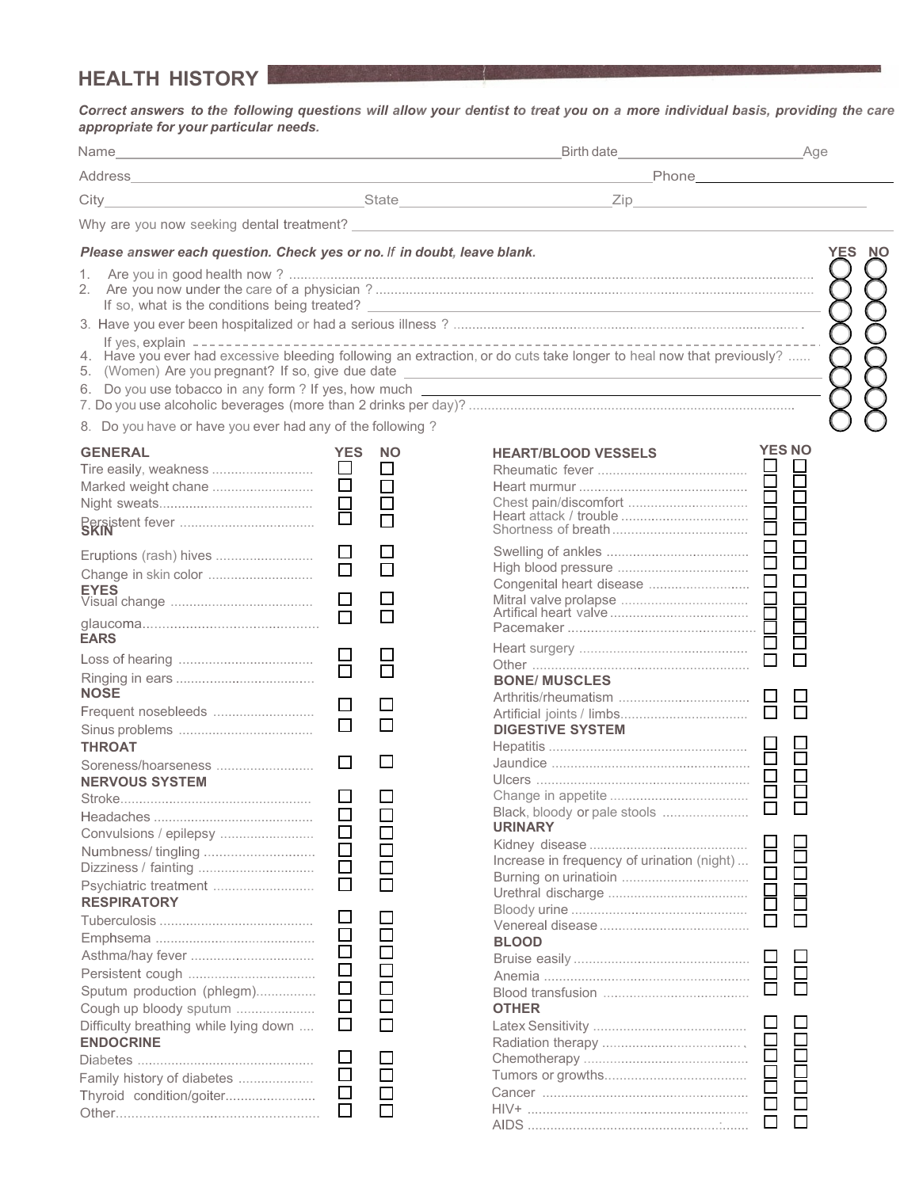# **HEALTH HISTORY**

*Correct answers to the following questions will allow your dentist to treat you on a more individual basis, providing the care appropriate for your particular needs.*

|                                                                                                                                                                             |                                                                               |                                            | Birth date <b>All Accords Contract to the Second Second Second Second Second Second Second Second Second Second Second Second Second Second Second Second Second Second Second Second Second Second Second Second Second Secon</b>   |                                           | Age |           |
|-----------------------------------------------------------------------------------------------------------------------------------------------------------------------------|-------------------------------------------------------------------------------|--------------------------------------------|--------------------------------------------------------------------------------------------------------------------------------------------------------------------------------------------------------------------------------------|-------------------------------------------|-----|-----------|
|                                                                                                                                                                             |                                                                               |                                            | Phone Phone                                                                                                                                                                                                                          |                                           |     |           |
|                                                                                                                                                                             |                                                                               |                                            |                                                                                                                                                                                                                                      |                                           |     |           |
|                                                                                                                                                                             |                                                                               |                                            | Why are you now seeking dental treatment? <u>example and the set of the set of the set of the set of the set of the set of the set of the set of the set of the set of the set of the set of the set of the set of the set of th</u> |                                           |     |           |
|                                                                                                                                                                             |                                                                               |                                            |                                                                                                                                                                                                                                      |                                           |     |           |
| Please answer each question. Check yes or no. If in doubt, leave blank.                                                                                                     |                                                                               |                                            |                                                                                                                                                                                                                                      |                                           | YES | <b>NO</b> |
| 2.<br>If yes, explain $------------$                                                                                                                                        |                                                                               |                                            | 4. Have you ever had excessive bleeding following an extraction, or do cuts take longer to heal now that previously?<br>5. (Women) Are you pregnant? If so, give due date ______________________________                             |                                           |     |           |
| 8. Do you have or have you ever had any of the following?                                                                                                                   |                                                                               |                                            |                                                                                                                                                                                                                                      |                                           |     |           |
| <b>GENERAL</b><br>Tire easily, weakness<br>Marked weight chane                                                                                                              | YES<br>$\Box$<br>$\Box$<br>$\Box$                                             | <b>NO</b><br>□<br>000<br>00                | <b>HEART/BLOOD VESSELS</b><br>Heart murmur<br>Chest pain/discomfort<br>Heart attack / trouble<br>Shortness of breath                                                                                                                 | <b>YES NO</b><br>88<br>88<br>88           |     |           |
| Eruptions (rash) hives<br><b>EYES</b><br><b>EARS</b>                                                                                                                        | $\Box$<br>$\Box$<br>$\Box$<br>$\Box$                                          | $\Box$<br>$\Box$<br>$\Box$                 |                                                                                                                                                                                                                                      | $\Box$<br>$\Box$<br>$\Box$<br>È<br>$\Box$ |     |           |
| <b>NOSE</b><br>Frequent nosebleeds<br><b>THROAT</b><br>Soreness/hoarseness<br><b>NERVOUS SYSTEM</b>                                                                         | H<br>$\Box$<br>$\Box$<br>$\Box$                                               | $\Box$<br>П                                | <b>BONE/ MUSCLES</b><br><b>DIGESTIVE SYSTEM</b><br>Hepatitis                                                                                                                                                                         | $\Box$<br>П                               |     |           |
| Convulsions / epilepsy<br>Numbness/tingling<br>Dizziness / fainting<br>Psychiatric treatment<br><b>RESPIRATORY</b>                                                          | □<br>ப<br>$\Box$<br>$\Box$<br>$\Box$<br>$\Box$<br>ப                           | $\mathsf{L}$<br>$\Box$<br>$\Box$<br>$\Box$ | <b>URINARY</b><br>Increase in frequency of urination (night)                                                                                                                                                                         | $\Box$                                    |     |           |
| Sputum production (phlegm)<br>Cough up bloody sputum<br>Difficulty breathing while lying down<br><b>ENDOCRINE</b><br>Family history of diabetes<br>Thyroid condition/goiter | $\mathsf{L}$<br>ப<br>$\Box$<br>□<br>$\Box$<br>⊔<br>$\Box$<br>$\Box$<br>$\Box$ | $\Box$<br>П                                | <b>BLOOD</b><br><b>OTHER</b>                                                                                                                                                                                                         | Ē<br>ō<br>⊏                               |     |           |
|                                                                                                                                                                             |                                                                               |                                            |                                                                                                                                                                                                                                      | $\Box$                                    |     |           |

HIV+ ........................................................... AIDS ...................................................:.......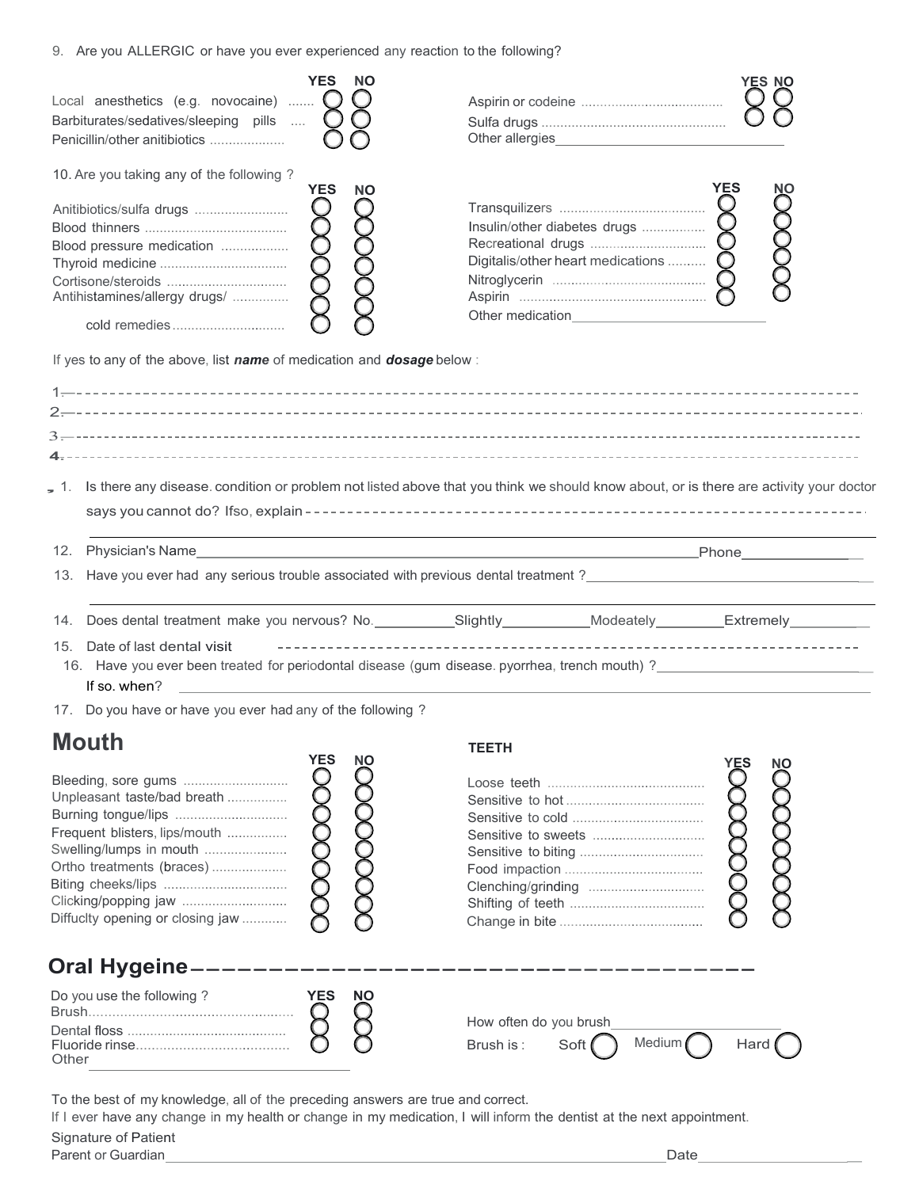9. Are you ALLERGIC or have you ever experienced any reaction to the following?

| ALC YOU ALLET YOR OF HAVE YOU CVCI CAPCHEHICCU ANY TEACHON TO THE TOHOWING!                                                                                                                                                                                   |                         |                                                                                                                                                                                                                        |                  |
|---------------------------------------------------------------------------------------------------------------------------------------------------------------------------------------------------------------------------------------------------------------|-------------------------|------------------------------------------------------------------------------------------------------------------------------------------------------------------------------------------------------------------------|------------------|
| Local anesthetics (e.g. novocaine) $\bigcup$<br>Barbiturates/sedatives/sleeping pills<br>Penicillin/other anitibiotics                                                                                                                                        | <b>YES</b><br><b>NO</b> |                                                                                                                                                                                                                        | YES NO           |
| 10. Are you taking any of the following?<br>Anitibiotics/sulfa drugs<br>Blood pressure medication<br>Antihistamines/allergy drugs/<br>cold remedies<br>If yes to any of the above, list name of medication and dosage below:                                  | <b>YES</b><br>NΟ        | Digitalis/other heart medications                                                                                                                                                                                      | <b>YES</b><br>NΟ |
|                                                                                                                                                                                                                                                               |                         | 1. Is there any disease. condition or problem not listed above that you think we should know about, or is there are activity your doctor                                                                               |                  |
| 12.                                                                                                                                                                                                                                                           |                         | <u> 1989 - Johann Stoff, deutscher Stoffen und der Stoffen und der Stoffen und der Stoffen und der Stoffen und der</u>                                                                                                 |                  |
|                                                                                                                                                                                                                                                               |                         | 13. Have you ever had any serious trouble associated with previous dental treatment ?                                                                                                                                  |                  |
| Date of last dental visit<br>15.                                                                                                                                                                                                                              |                         | 14. Does dental treatment make you nervous? No. ___________Slightly __________Modeately __________Extremely ________<br>16. Have you ever been treated for periodontal disease (gum disease. pyorrhea, trench mouth) ? |                  |
| If so. when?                                                                                                                                                                                                                                                  |                         |                                                                                                                                                                                                                        |                  |
| 17. Do you have or have you ever had any of the following?<br><b>Mouth</b><br>Unpleasant taste/bad breath<br>Burning tongue/lips<br>Frequent blisters, lips/mouth<br>Swelling/lumps in mouth<br>Ortho treatments (braces)<br>Diffucity opening or closing jaw | YES<br>NO               | <b>TEETH</b><br>Sensitive to sweets                                                                                                                                                                                    | YES<br><b>NO</b> |
| <b>Oral Hygeine--</b>                                                                                                                                                                                                                                         |                         |                                                                                                                                                                                                                        |                  |
| Do you use the following?                                                                                                                                                                                                                                     | <b>YES</b><br><b>NO</b> | How often do you brush                                                                                                                                                                                                 |                  |

To the best of my knowledge, all of the preceding answers are true and correct.

Ŏ

 $\circ$ 

If I ever have any change in my health or change in my medication, I will inform the dentist at the next appointment.

| Signature of Patient    |      |
|-------------------------|------|
| Parent or u<br>Guardian | )ate |

Other

Fluoride rinse.......................................

Brush is: Soft  $\bigcap$  Medium Hard (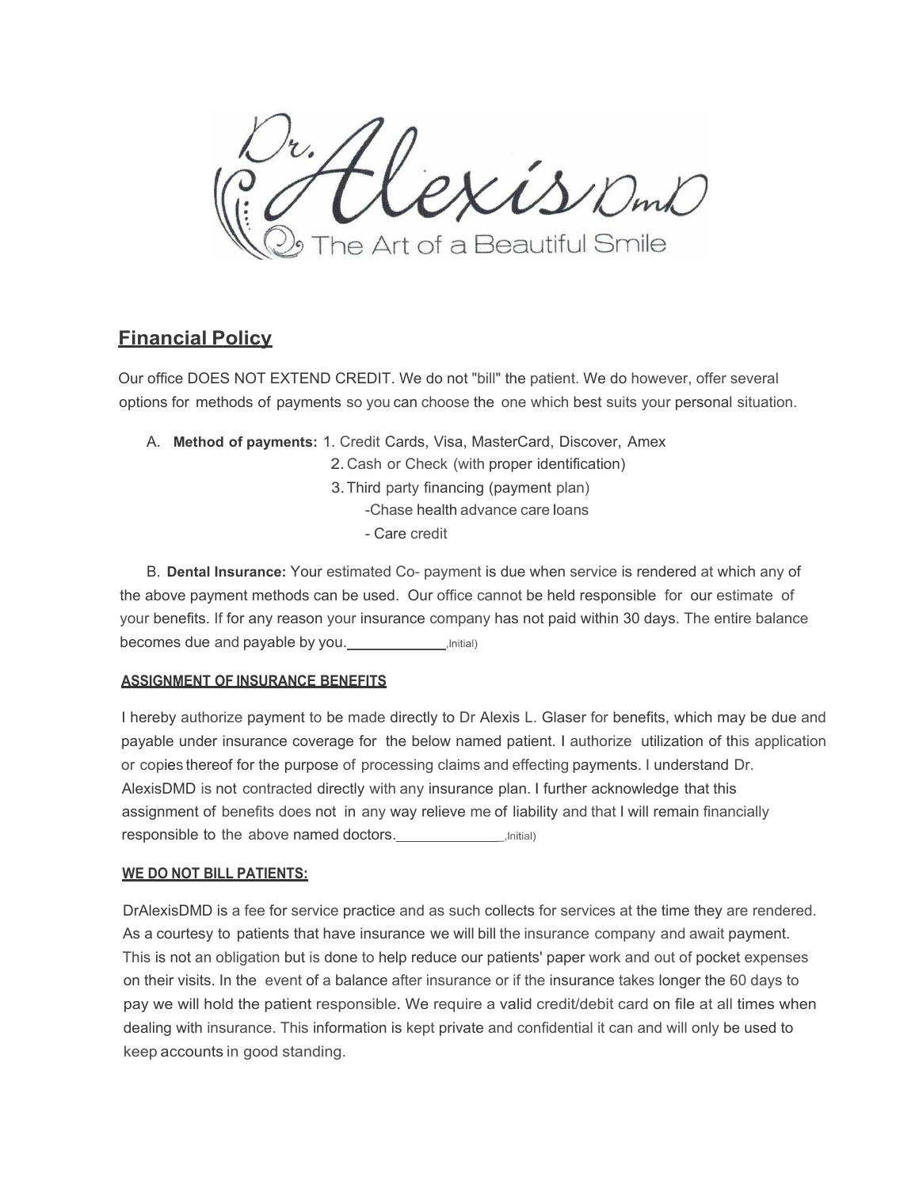Kis DmD The Art of a Beautiful Smile

## **Financial Policy**

Our office DOES NOT EXTEND CREDIT. We do not "bill" the patient. We do however, offer several options for methods of payments so you can choose the one which best suits your personal situation.

A. **Method of payments:** 1. Credit Cards, Visa, MasterCard, Discover, Amex

2. Cash or Check (with proper identification)

3.Third party financing (payment plan)

-Chase health advance care loans

- Care credit

B. **Dental Insurance:** Your estimated Co- payment is due when service is rendered at which any of the above payment methods can be used. Our office cannot be held responsible for our estimate of your benefits. If for any reason your insurance company has not paid within 30 days. The entire balance becomes due and payable by you. **Fig. 1.** (Initial)

#### **ASSIGNMENT OF INSURANCE BENEFITS**

I hereby authorize payment to be made directly to Dr Alexis L. Glaser for benefits, which may be due and payable under insurance coverage for the below named patient. I authorize utilization of this application or copies thereof for the purpose of processing claims and effecting payments. I understand Dr. AlexisDMD is not contracted directly with any insurance plan. I further acknowledge that this assignment of benefits does not in any way relieve me of liability and that I will remain financially responsible to the above named doctors. \_,lnitial)

### **WE DO NOT BILL PATIENTS:**

DrAlexisDMD is a fee for service practice and as such collects for services at the time they are rendered. As a courtesy to patients that have insurance we will bill the insurance company and await payment. This is not an obligation but is done to help reduce our patients' paper work and out of pocket expenses on their visits. In the event of a balance after insurance or if the insurance takes longer the 60 days to pay we will hold the patient responsible. We require a valid credit/debit card on file at all times when dealing with insurance. This information is kept private and confidential it can and will only be used to keep accounts in good standing.